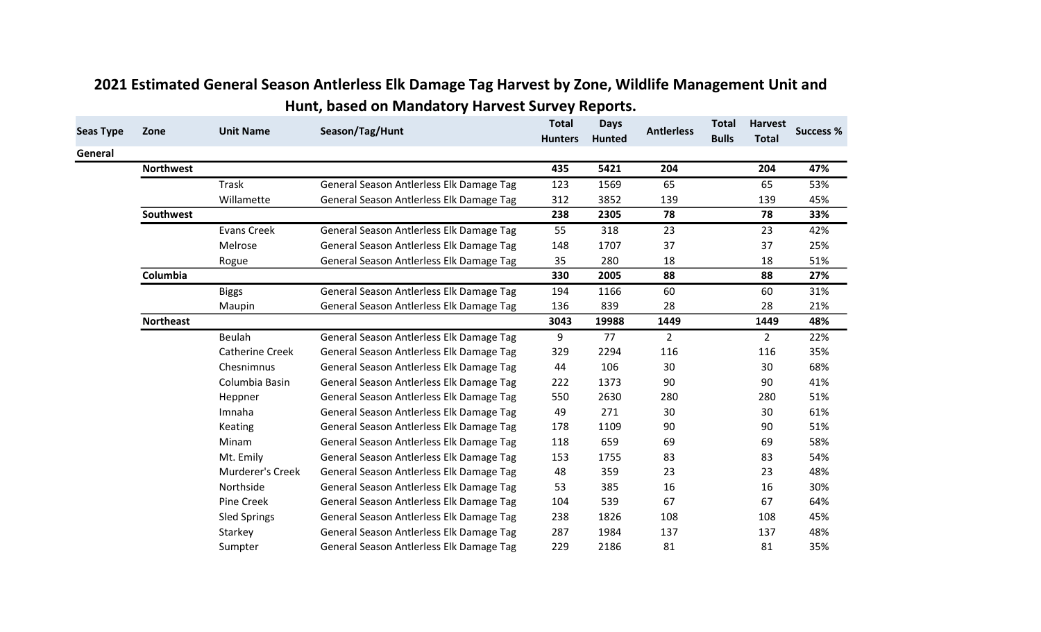| <b>Seas Type</b> | Zone             | <b>Unit Name</b>       | Season/Tag/Hunt                          | <b>Total</b><br><b>Hunters</b> | <b>Days</b><br><b>Hunted</b> | <b>Antlerless</b> | <b>Total</b><br><b>Bulls</b> | <b>Harvest</b><br><b>Total</b> | <b>Success %</b> |
|------------------|------------------|------------------------|------------------------------------------|--------------------------------|------------------------------|-------------------|------------------------------|--------------------------------|------------------|
| General          |                  |                        |                                          |                                |                              |                   |                              |                                |                  |
|                  | <b>Northwest</b> |                        |                                          | 435                            | 5421                         | 204               |                              | 204                            | 47%              |
|                  |                  | <b>Trask</b>           | General Season Antlerless Elk Damage Tag | 123                            | 1569                         | 65                |                              | 65                             | 53%              |
|                  |                  | Willamette             | General Season Antlerless Elk Damage Tag | 312                            | 3852                         | 139               |                              | 139                            | 45%              |
|                  | Southwest        |                        |                                          | 238                            | 2305                         | 78                |                              | 78                             | 33%              |
|                  |                  | <b>Evans Creek</b>     | General Season Antlerless Elk Damage Tag | 55                             | 318                          | 23                |                              | 23                             | 42%              |
|                  |                  | Melrose                | General Season Antlerless Elk Damage Tag | 148                            | 1707                         | 37                |                              | 37                             | 25%              |
|                  |                  | Rogue                  | General Season Antlerless Elk Damage Tag | 35                             | 280                          | 18                |                              | 18                             | 51%              |
|                  | Columbia         |                        |                                          | 330                            | 2005                         | 88                |                              | 88                             | 27%              |
|                  |                  | <b>Biggs</b>           | General Season Antlerless Elk Damage Tag | 194                            | 1166                         | 60                |                              | 60                             | 31%              |
|                  |                  | Maupin                 | General Season Antlerless Elk Damage Tag | 136                            | 839                          | 28                |                              | 28                             | 21%              |
|                  | <b>Northeast</b> |                        |                                          | 3043                           | 19988                        | 1449              |                              | 1449                           | 48%              |
|                  |                  | Beulah                 | General Season Antlerless Elk Damage Tag | 9                              | 77                           | $\overline{2}$    |                              | $\overline{2}$                 | 22%              |
|                  |                  | <b>Catherine Creek</b> | General Season Antlerless Elk Damage Tag | 329                            | 2294                         | 116               |                              | 116                            | 35%              |
|                  |                  | Chesnimnus             | General Season Antlerless Elk Damage Tag | 44                             | 106                          | 30                |                              | 30                             | 68%              |
|                  |                  | Columbia Basin         | General Season Antlerless Elk Damage Tag | 222                            | 1373                         | 90                |                              | 90                             | 41%              |
|                  |                  | Heppner                | General Season Antlerless Elk Damage Tag | 550                            | 2630                         | 280               |                              | 280                            | 51%              |
|                  |                  | Imnaha                 | General Season Antlerless Elk Damage Tag | 49                             | 271                          | 30                |                              | 30                             | 61%              |
|                  |                  | Keating                | General Season Antlerless Elk Damage Tag | 178                            | 1109                         | 90                |                              | 90                             | 51%              |
|                  |                  | Minam                  | General Season Antlerless Elk Damage Tag | 118                            | 659                          | 69                |                              | 69                             | 58%              |
|                  |                  | Mt. Emily              | General Season Antlerless Elk Damage Tag | 153                            | 1755                         | 83                |                              | 83                             | 54%              |
|                  |                  | Murderer's Creek       | General Season Antlerless Elk Damage Tag | 48                             | 359                          | 23                |                              | 23                             | 48%              |
|                  |                  | Northside              | General Season Antlerless Elk Damage Tag | 53                             | 385                          | 16                |                              | 16                             | 30%              |
|                  |                  | Pine Creek             | General Season Antlerless Elk Damage Tag | 104                            | 539                          | 67                |                              | 67                             | 64%              |
|                  |                  | <b>Sled Springs</b>    | General Season Antlerless Elk Damage Tag | 238                            | 1826                         | 108               |                              | 108                            | 45%              |
|                  |                  | Starkey                | General Season Antlerless Elk Damage Tag | 287                            | 1984                         | 137               |                              | 137                            | 48%              |
|                  |                  | Sumpter                | General Season Antlerless Elk Damage Tag | 229                            | 2186                         | 81                |                              | 81                             | 35%              |

## 2021 Estimated General Season Antlerless Elk Damage Tag Harvest by Zone, Wildlife Management Unit and Hunt, based on Mandatory Harvest Survey Reports.